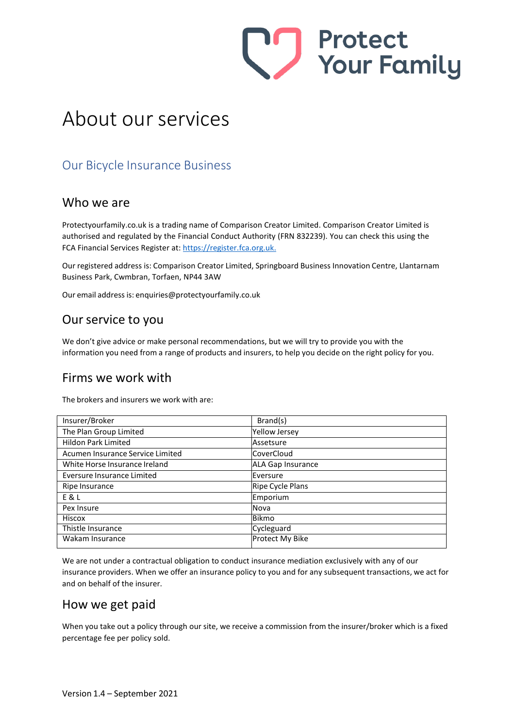

# About our services

## Our Bicycle Insurance Business

#### Who we are

Protectyourfamily.co.uk is a trading name of Comparison Creator Limited. Comparison Creator Limited is authorised and regulated by the Financial Conduct Authority (FRN 832239). You can check this using the FCA Financial Services Register at: https://register.fca.org.uk.

Our registered address is: Comparison Creator Limited, Springboard Business Innovation Centre, Llantarnam Business Park, Cwmbran, Torfaen, NP44 3AW

Our email address is: [enquiries@protectyourfamily.co.uk](mailto:enquiries@protectyourfamily.co.uk)

## Our service to you

We don't give advice or make personal recommendations, but we will try to provide you with the information you need from a range of products and insurers, to help you decide on the right policy for you.

#### Firms we work with

The brokers and insurers we work with are:

| Insurer/Broker                   | Brand(s)                |
|----------------------------------|-------------------------|
| The Plan Group Limited           | <b>Yellow Jersey</b>    |
| <b>Hildon Park Limited</b>       | Assetsure               |
| Acumen Insurance Service Limited | CoverCloud              |
| White Horse Insurance Ireland    | ALA Gap Insurance       |
| Eversure Insurance Limited       | Eversure                |
| Ripe Insurance                   | <b>Ripe Cycle Plans</b> |
| E & L                            | Emporium                |
| Pex Insure                       | Nova                    |
| Hiscox                           | <b>Bikmo</b>            |
| Thistle Insurance                | Cycleguard              |
| Wakam Insurance                  | Protect My Bike         |

We are not under a contractual obligation to conduct insurance mediation exclusively with any of our insurance providers. When we offer an insurance policy to you and for any subsequent transactions, we act for and on behalf of the insurer.

#### How we get paid

When you take out a policy through our site, we receive a commission from the insurer/broker which is a fixed percentage fee per policy sold.